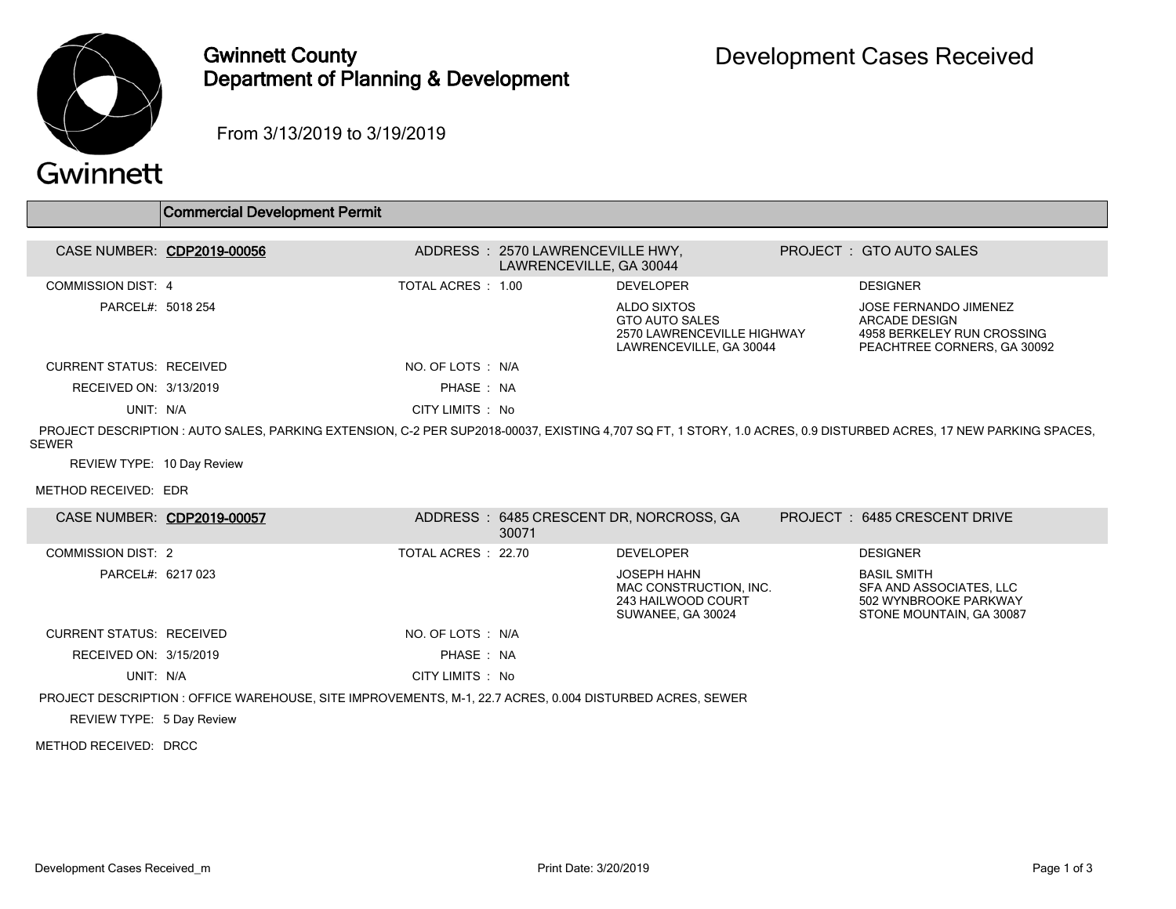

## Gwinnett County Department of Planning & Development

From 3/13/2019 to 3/19/2019

## Gwinnett

|                                 | Commercial Development Permit |                    |                                                              |                                                                                               |                                                                                                                                                                   |
|---------------------------------|-------------------------------|--------------------|--------------------------------------------------------------|-----------------------------------------------------------------------------------------------|-------------------------------------------------------------------------------------------------------------------------------------------------------------------|
|                                 |                               |                    |                                                              |                                                                                               |                                                                                                                                                                   |
|                                 | CASE NUMBER: CDP2019-00056    |                    | ADDRESS : 2570 LAWRENCEVILLE HWY,<br>LAWRENCEVILLE, GA 30044 |                                                                                               | PROJECT : GTO AUTO SALES                                                                                                                                          |
| <b>COMMISSION DIST: 4</b>       |                               | TOTAL ACRES : 1.00 |                                                              | <b>DEVELOPER</b>                                                                              | <b>DESIGNER</b>                                                                                                                                                   |
| PARCEL#: 5018 254               |                               |                    |                                                              | ALDO SIXTOS<br><b>GTO AUTO SALES</b><br>2570 LAWRENCEVILLE HIGHWAY<br>LAWRENCEVILLE, GA 30044 | JOSE FERNANDO JIMENEZ<br>ARCADE DESIGN<br>4958 BERKELEY RUN CROSSING<br>PEACHTREE CORNERS, GA 30092                                                               |
| <b>CURRENT STATUS: RECEIVED</b> |                               | NO. OF LOTS : N/A  |                                                              |                                                                                               |                                                                                                                                                                   |
| RECEIVED ON: 3/13/2019          |                               | PHASE: NA          |                                                              |                                                                                               |                                                                                                                                                                   |
| UNIT: N/A                       |                               | CITY LIMITS : No   |                                                              |                                                                                               |                                                                                                                                                                   |
| SEWER                           |                               |                    |                                                              |                                                                                               | PROJECT DESCRIPTION : AUTO SALES, PARKING EXTENSION, C-2 PER SUP2018-00037, EXISTING 4.707 SQ FT, 1 STORY, 1.0 ACRES, 0.9 DISTURBED ACRES, 17 NEW PARKING SPACES, |
| REVIEW TYPE: 10 Day Review      |                               |                    |                                                              |                                                                                               |                                                                                                                                                                   |
| METHOD RECEIVED: EDR            |                               |                    |                                                              |                                                                                               |                                                                                                                                                                   |
| CASE NUMBED. CODON10 00057      |                               |                    |                                                              | ADDDECC · 6485 CDECCENT DD NODCDOCC CA                                                        | DDO IECT · 6495 CDECCENT DDIVE                                                                                                                                    |

|                                                                                                          | CASE NUMBER: CDPZUIY-0000/ |                   | 30071 | ADDRESS : 0485 CRESCENT DR. NORCROSS. GA                                                |  | PROJECT: 6485 CRESCENT DRIVE                                                                       |  |
|----------------------------------------------------------------------------------------------------------|----------------------------|-------------------|-------|-----------------------------------------------------------------------------------------|--|----------------------------------------------------------------------------------------------------|--|
| <b>COMMISSION DIST: 2</b>                                                                                |                            | TOTAL ACRES 22.70 |       | <b>DEVELOPER</b>                                                                        |  | <b>DESIGNER</b>                                                                                    |  |
| PARCEL#: 6217 023                                                                                        |                            |                   |       | <b>JOSEPH HAHN</b><br>MAC CONSTRUCTION, INC.<br>243 HAILWOOD COURT<br>SUWANEE, GA 30024 |  | <b>BASIL SMITH</b><br>SFA AND ASSOCIATES, LLC<br>502 WYNBROOKE PARKWAY<br>STONE MOUNTAIN, GA 30087 |  |
| <b>CURRENT STATUS: RECEIVED</b>                                                                          |                            | NO. OF LOTS : N/A |       |                                                                                         |  |                                                                                                    |  |
| RECEIVED ON: 3/15/2019                                                                                   |                            | PHASE: NA         |       |                                                                                         |  |                                                                                                    |  |
| UNIT: N/A                                                                                                |                            | CITY LIMITS : No  |       |                                                                                         |  |                                                                                                    |  |
| PROJECT DESCRIPTION : OFFICE WAREHOUSE, SITE IMPROVEMENTS, M-1, 22.7 ACRES, 0.004 DISTURBED ACRES, SEWER |                            |                   |       |                                                                                         |  |                                                                                                    |  |

REVIEW TYPE: 5 Day Review

METHOD RECEIVED: DRCC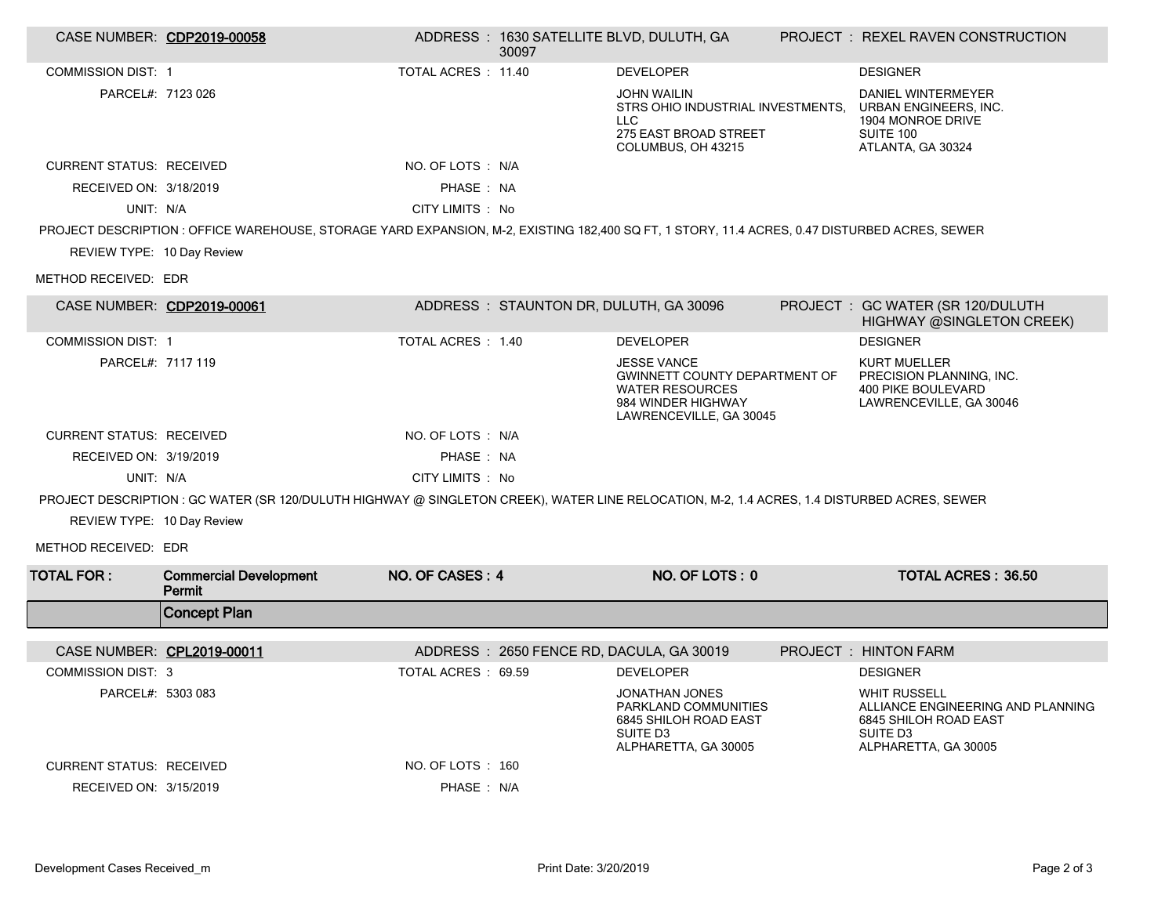| CASE NUMBER: CDP2019-00058      |                                                                                                                                               |                     | 30097                                  | ADDRESS: 1630 SATELLITE BLVD, DULUTH, GA                                                                                              | PROJECT : REXEL RAVEN CONSTRUCTION                                                                                                |
|---------------------------------|-----------------------------------------------------------------------------------------------------------------------------------------------|---------------------|----------------------------------------|---------------------------------------------------------------------------------------------------------------------------------------|-----------------------------------------------------------------------------------------------------------------------------------|
| <b>COMMISSION DIST: 1</b>       |                                                                                                                                               | TOTAL ACRES : 11.40 |                                        | <b>DEVELOPER</b>                                                                                                                      | <b>DESIGNER</b>                                                                                                                   |
| PARCEL#: 7123 026               |                                                                                                                                               |                     |                                        | <b>JOHN WAILIN</b><br>STRS OHIO INDUSTRIAL INVESTMENTS.<br><b>LLC</b><br>275 EAST BROAD STREET<br>COLUMBUS, OH 43215                  | DANIEL WINTERMEYER<br>URBAN ENGINEERS, INC.<br>1904 MONROE DRIVE<br><b>SUITE 100</b><br>ATLANTA, GA 30324                         |
| <b>CURRENT STATUS: RECEIVED</b> |                                                                                                                                               | NO. OF LOTS : N/A   |                                        |                                                                                                                                       |                                                                                                                                   |
| RECEIVED ON: 3/18/2019          |                                                                                                                                               | PHASE: NA           |                                        |                                                                                                                                       |                                                                                                                                   |
| UNIT: N/A                       |                                                                                                                                               | CITY LIMITS : No    |                                        |                                                                                                                                       |                                                                                                                                   |
|                                 | PROJECT DESCRIPTION : OFFICE WAREHOUSE, STORAGE YARD EXPANSION, M-2, EXISTING 182,400 SQ FT, 1 STORY, 11.4 ACRES, 0.47 DISTURBED ACRES, SEWER |                     |                                        |                                                                                                                                       |                                                                                                                                   |
| REVIEW TYPE: 10 Day Review      |                                                                                                                                               |                     |                                        |                                                                                                                                       |                                                                                                                                   |
| METHOD RECEIVED: EDR            |                                                                                                                                               |                     |                                        |                                                                                                                                       |                                                                                                                                   |
| CASE NUMBER: CDP2019-00061      |                                                                                                                                               |                     | ADDRESS: STAUNTON DR, DULUTH, GA 30096 |                                                                                                                                       | PROJECT : GC WATER (SR 120/DULUTH<br>HIGHWAY @SINGLETON CREEK)                                                                    |
| <b>COMMISSION DIST: 1</b>       |                                                                                                                                               | TOTAL ACRES : 1.40  |                                        | <b>DEVELOPER</b>                                                                                                                      | <b>DESIGNER</b>                                                                                                                   |
| PARCEL#: 7117 119               |                                                                                                                                               |                     |                                        | <b>JESSE VANCE</b><br><b>GWINNETT COUNTY DEPARTMENT OF</b><br><b>WATER RESOURCES</b><br>984 WINDER HIGHWAY<br>LAWRENCEVILLE, GA 30045 | <b>KURT MUELLER</b><br>PRECISION PLANNING, INC.<br><b>400 PIKE BOULEVARD</b><br>LAWRENCEVILLE, GA 30046                           |
| <b>CURRENT STATUS: RECEIVED</b> |                                                                                                                                               | NO. OF LOTS : N/A   |                                        |                                                                                                                                       |                                                                                                                                   |
| RECEIVED ON: 3/19/2019          |                                                                                                                                               | PHASE: NA           |                                        |                                                                                                                                       |                                                                                                                                   |
| UNIT: N/A                       |                                                                                                                                               | CITY LIMITS : No    |                                        |                                                                                                                                       |                                                                                                                                   |
|                                 | PROJECT DESCRIPTION: GC WATER (SR 120/DULUTH HIGHWAY @ SINGLETON CREEK), WATER LINE RELOCATION, M-2, 1.4 ACRES, 1.4 DISTURBED ACRES, SEWER    |                     |                                        |                                                                                                                                       |                                                                                                                                   |
| REVIEW TYPE: 10 Day Review      |                                                                                                                                               |                     |                                        |                                                                                                                                       |                                                                                                                                   |
| METHOD RECEIVED: EDR            |                                                                                                                                               |                     |                                        |                                                                                                                                       |                                                                                                                                   |
| <b>TOTAL FOR :</b>              | <b>Commercial Development</b><br>Permit                                                                                                       | NO. OF CASES: 4     |                                        | NO. OF LOTS: 0                                                                                                                        | <b>TOTAL ACRES: 36.50</b>                                                                                                         |
|                                 | <b>Concept Plan</b>                                                                                                                           |                     |                                        |                                                                                                                                       |                                                                                                                                   |
| CASE NUMBER: CPL2019-00011      |                                                                                                                                               |                     |                                        | ADDRESS: 2650 FENCE RD, DACULA, GA 30019                                                                                              | PROJECT : HINTON FARM                                                                                                             |
| <b>COMMISSION DIST: 3</b>       |                                                                                                                                               | TOTAL ACRES: 69.59  |                                        | <b>DEVELOPER</b>                                                                                                                      | <b>DESIGNER</b>                                                                                                                   |
| PARCEL#: 5303 083               |                                                                                                                                               |                     |                                        | <b>JONATHAN JONES</b><br>PARKLAND COMMUNITIES<br>6845 SHILOH ROAD EAST<br>SUITE D3<br>ALPHARETTA, GA 30005                            | <b>WHIT RUSSELL</b><br>ALLIANCE ENGINEERING AND PLANNING<br>6845 SHILOH ROAD EAST<br>SUITE D <sub>3</sub><br>ALPHARETTA, GA 30005 |
| <b>CURRENT STATUS: RECEIVED</b> |                                                                                                                                               | NO. OF LOTS : 160   |                                        |                                                                                                                                       |                                                                                                                                   |
| RECEIVED ON: 3/15/2019          |                                                                                                                                               | PHASE: N/A          |                                        |                                                                                                                                       |                                                                                                                                   |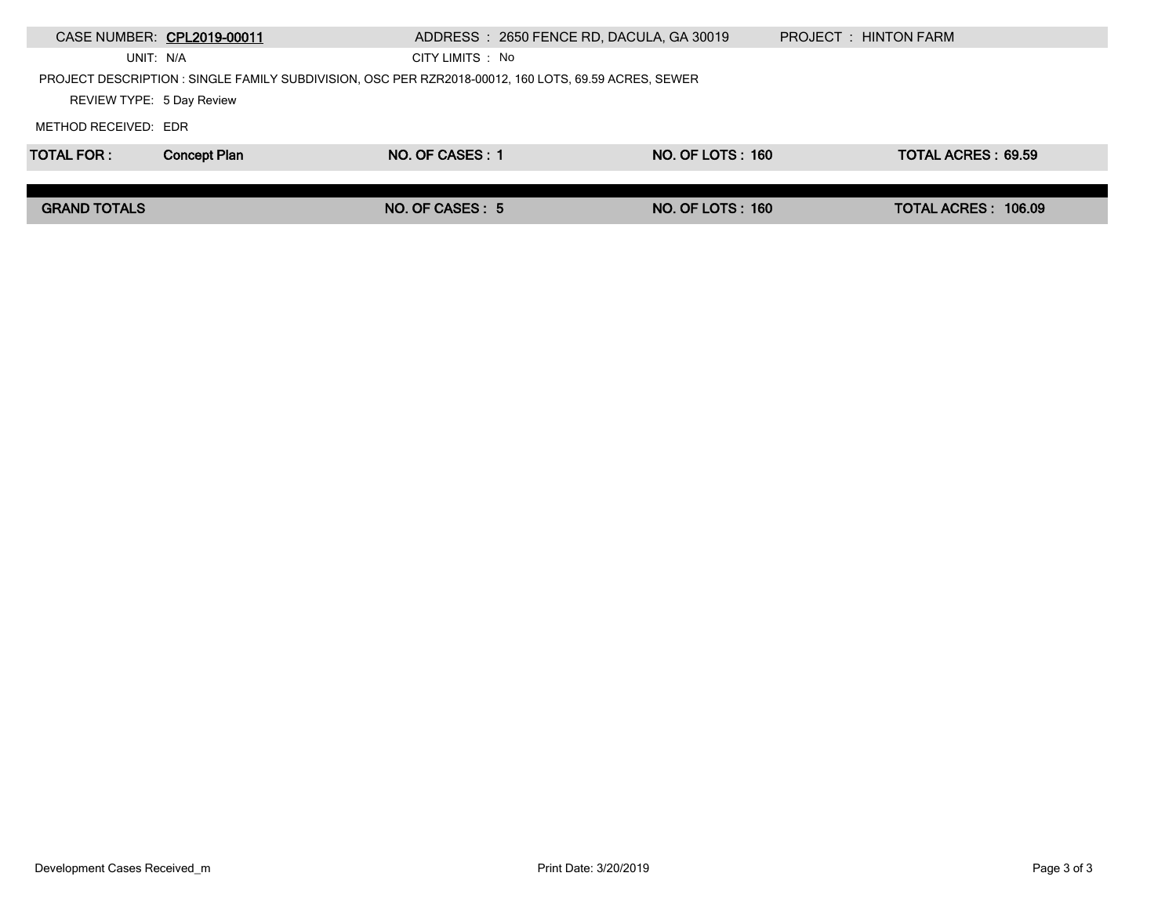|                           | CASE NUMBER: CPL2019-00011 | ADDRESS: 2650 FENCE RD, DACULA, GA 30019                                                             |                         | PROJECT : HINTON FARM |
|---------------------------|----------------------------|------------------------------------------------------------------------------------------------------|-------------------------|-----------------------|
| UNIT: N/A                 |                            | CITY LIMITS : No                                                                                     |                         |                       |
|                           |                            | PROJECT DESCRIPTION : SINGLE FAMILY SUBDIVISION, OSC PER RZR2018-00012, 160 LOTS, 69.59 ACRES, SEWER |                         |                       |
| REVIEW TYPE: 5 Day Review |                            |                                                                                                      |                         |                       |
| METHOD RECEIVED: EDR      |                            |                                                                                                      |                         |                       |
| <b>TOTAL FOR:</b>         | <b>Concept Plan</b>        | NO. OF CASES: 1                                                                                      | <b>NO. OF LOTS: 160</b> | TOTAL ACRES: 69.59    |
|                           |                            |                                                                                                      |                         |                       |
| <b>GRAND TOTALS</b>       |                            | NO. OF CASES: 5                                                                                      | <b>NO. OF LOTS: 160</b> | TOTAL ACRES: 106.09   |
|                           |                            |                                                                                                      |                         |                       |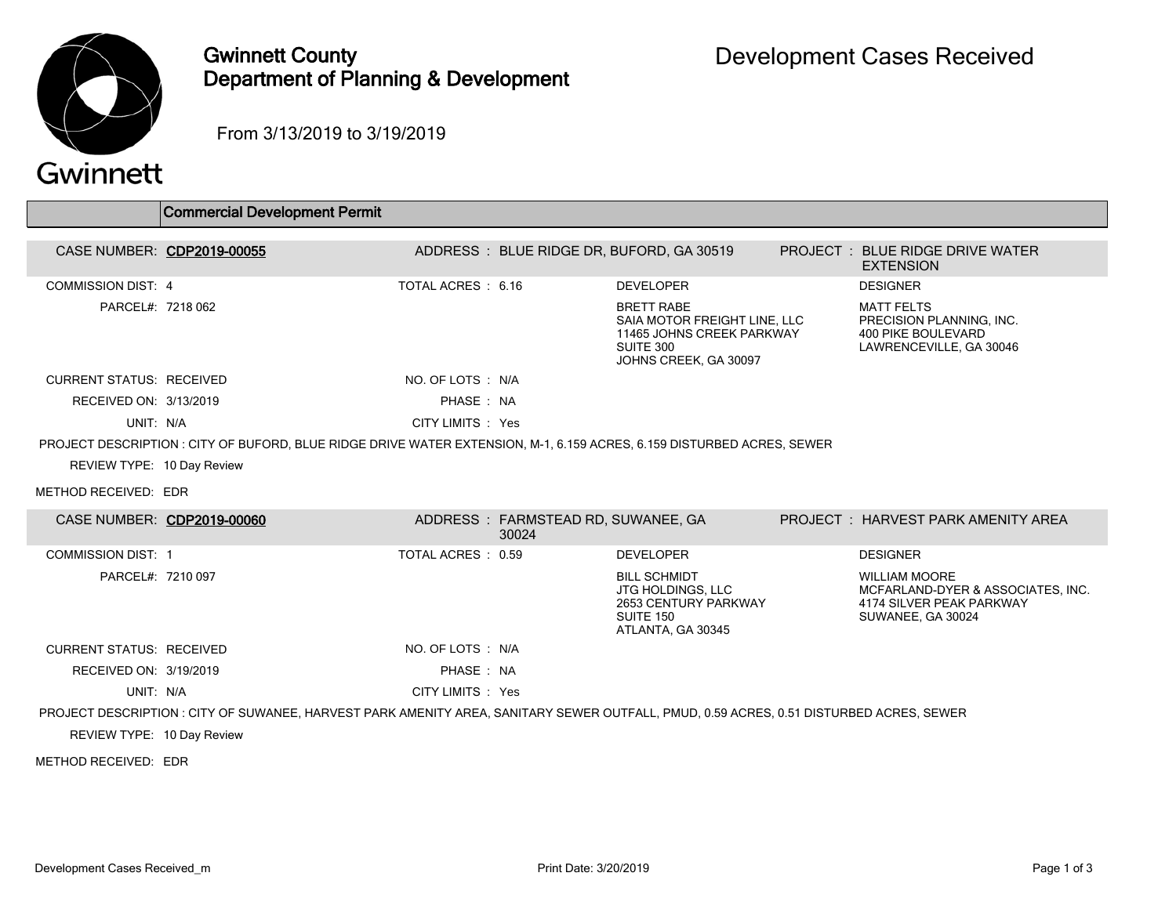

## Gwinnett County Department of Planning & Development

From 3/13/2019 to 3/19/2019

## Commercial Development Permit CASE NUMBER: CDP2019-00055 ADDRESS : BLUE RIDGE DR, BUFORD, GA 30519 PROJECT : BLUE RIDGE DRIVE WATER **EXTENSION** COMMISSION DIST: 4 TOTAL ACRES : 6.16 DEVELOPER DESIGNER PARCEL#: 7218 062 BRETT RABE SAIA MOTOR FREIGHT LINE, LLC 11465 JOHNS CREEK PARKWAY SUITE 300 JOHNS CREEK, GA 30097 MATT FELTS PRECISION PLANNING, INC. 400 PIKE BOULEVARD LAWRENCEVILLE, GA 30046 CURRENT STATUS: RECEIVED NO. OF LOTS : N/A RECEIVED ON: 3/13/2019 **PHASE : NA** UNIT: N/A CITY LIMITS : Yes PROJECT DESCRIPTION : CITY OF BUFORD, BLUE RIDGE DRIVE WATER EXTENSION, M-1, 6.159 ACRES, 6.159 DISTURBED ACRES, SEWER REVIEW TYPE: 10 Day Review METHOD RECEIVED: EDR CASE NUMBER: CDP2019-00060 ADDRESS : FARMSTEAD RD, SUWANEE, GA 30024 PROJECT : HARVEST PARK AMENITY AREA COMMISSION DIST: 1 TOTAL ACRES : 0.59 DEVELOPER DESIGNER PARCEL#: 7210 097 BILL SCHMIDT JTG HOLDINGS, LLC 2653 CENTURY PARKWAY SUITE 150 ATLANTA, GA 30345 WILLIAM MOORE MCFARLAND-DYER & ASSOCIATES, INC. 4174 SILVER PEAK PARKWAY SUWANEE, GA 30024 CURRENT STATUS: RECEIVED NO. OF LOTS : N/A RECEIVED ON: 3/19/2019 **PHASE : NA** UNIT: N/A CITY LIMITS : Yes PROJECT DESCRIPTION : CITY OF SUWANEE, HARVEST PARK AMENITY AREA, SANITARY SEWER OUTFALL, PMUD, 0.59 ACRES, 0.51 DISTURBED ACRES, SEWER REVIEW TYPE: 10 Day Review METHOD RECEIVED: EDR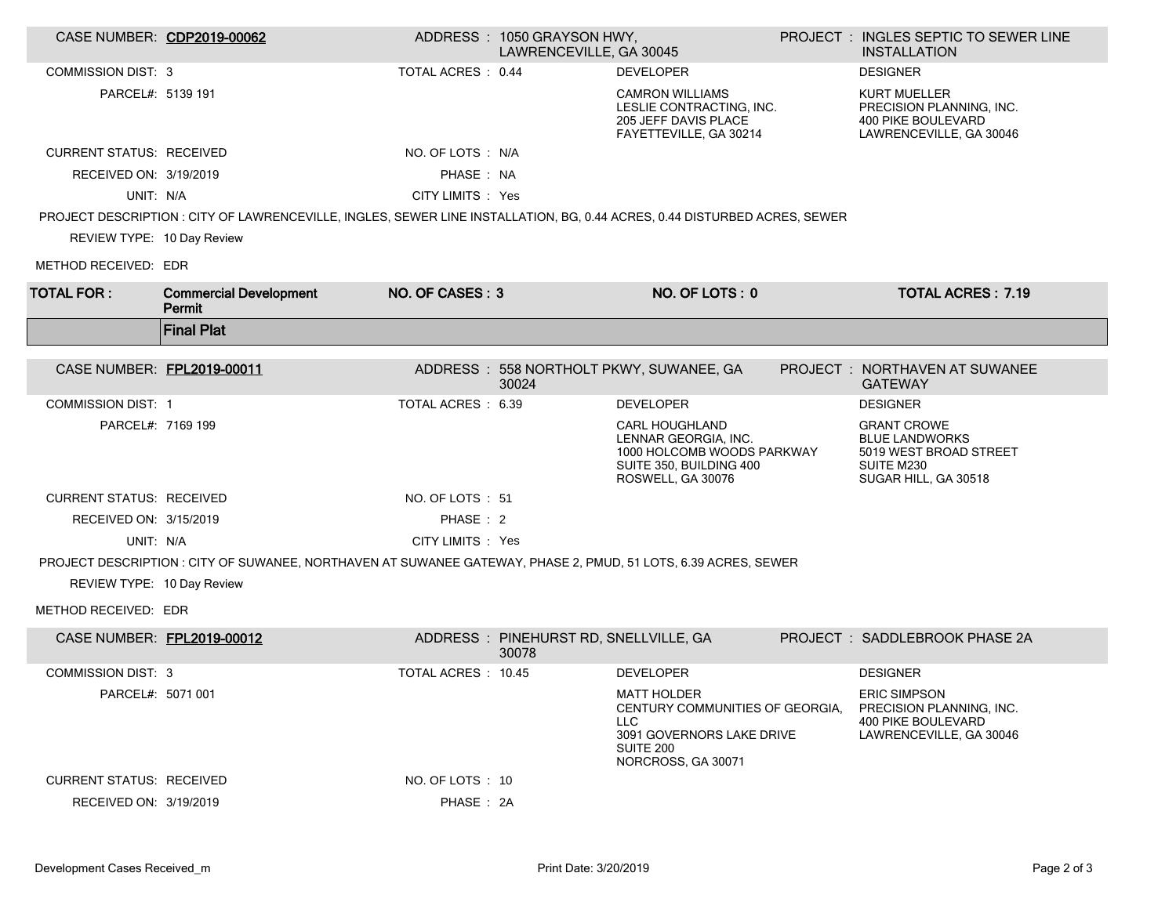| CASE NUMBER: CDP2019-00062      |                                                                                                                           |                    | ADDRESS: 1050 GRAYSON HWY,<br>LAWRENCEVILLE, GA 30045 |                                                                                                                                      | PROJECT : INGLES SEPTIC TO SEWER LINE<br><b>INSTALLATION</b>                                                |
|---------------------------------|---------------------------------------------------------------------------------------------------------------------------|--------------------|-------------------------------------------------------|--------------------------------------------------------------------------------------------------------------------------------------|-------------------------------------------------------------------------------------------------------------|
| <b>COMMISSION DIST: 3</b>       |                                                                                                                           | TOTAL ACRES: 0.44  |                                                       | <b>DEVELOPER</b>                                                                                                                     | <b>DESIGNER</b>                                                                                             |
| PARCEL#: 5139 191               |                                                                                                                           |                    |                                                       | <b>CAMRON WILLIAMS</b><br>LESLIE CONTRACTING, INC.<br>205 JEFF DAVIS PLACE<br>FAYETTEVILLE, GA 30214                                 | <b>KURT MUELLER</b><br>PRECISION PLANNING, INC.<br><b>400 PIKE BOULEVARD</b><br>LAWRENCEVILLE, GA 30046     |
| <b>CURRENT STATUS: RECEIVED</b> |                                                                                                                           | NO. OF LOTS : N/A  |                                                       |                                                                                                                                      |                                                                                                             |
| RECEIVED ON: 3/19/2019          |                                                                                                                           | PHASE: NA          |                                                       |                                                                                                                                      |                                                                                                             |
| UNIT: N/A                       |                                                                                                                           | CITY LIMITS : Yes  |                                                       |                                                                                                                                      |                                                                                                             |
|                                 | PROJECT DESCRIPTION : CITY OF LAWRENCEVILLE, INGLES, SEWER LINE INSTALLATION, BG, 0.44 ACRES, 0.44 DISTURBED ACRES, SEWER |                    |                                                       |                                                                                                                                      |                                                                                                             |
| REVIEW TYPE: 10 Day Review      |                                                                                                                           |                    |                                                       |                                                                                                                                      |                                                                                                             |
| METHOD RECEIVED: EDR            |                                                                                                                           |                    |                                                       |                                                                                                                                      |                                                                                                             |
| <b>TOTAL FOR:</b>               | <b>Commercial Development</b><br>Permit                                                                                   | NO. OF CASES: 3    |                                                       | NO. OF LOTS: 0                                                                                                                       | <b>TOTAL ACRES: 7.19</b>                                                                                    |
|                                 | <b>Final Plat</b>                                                                                                         |                    |                                                       |                                                                                                                                      |                                                                                                             |
| CASE NUMBER: FPL2019-00011      |                                                                                                                           |                    | 30024                                                 | ADDRESS: 558 NORTHOLT PKWY, SUWANEE, GA                                                                                              | <b>PROJECT : NORTHAVEN AT SUWANEE</b><br><b>GATEWAY</b>                                                     |
| <b>COMMISSION DIST: 1</b>       |                                                                                                                           | TOTAL ACRES: 6.39  |                                                       | <b>DEVELOPER</b>                                                                                                                     | <b>DESIGNER</b>                                                                                             |
| PARCEL#: 7169 199               |                                                                                                                           |                    |                                                       | <b>CARL HOUGHLAND</b><br>LENNAR GEORGIA, INC.<br>1000 HOLCOMB WOODS PARKWAY<br>SUITE 350, BUILDING 400<br>ROSWELL, GA 30076          | <b>GRANT CROWE</b><br><b>BLUE LANDWORKS</b><br>5019 WEST BROAD STREET<br>SUITE M230<br>SUGAR HILL, GA 30518 |
| <b>CURRENT STATUS: RECEIVED</b> |                                                                                                                           | NO. OF LOTS: 51    |                                                       |                                                                                                                                      |                                                                                                             |
| RECEIVED ON: 3/15/2019          |                                                                                                                           | PHASE: 2           |                                                       |                                                                                                                                      |                                                                                                             |
| UNIT: N/A                       |                                                                                                                           | CITY LIMITS : Yes  |                                                       |                                                                                                                                      |                                                                                                             |
|                                 | PROJECT DESCRIPTION : CITY OF SUWANEE, NORTHAVEN AT SUWANEE GATEWAY, PHASE 2, PMUD, 51 LOTS, 6.39 ACRES, SEWER            |                    |                                                       |                                                                                                                                      |                                                                                                             |
| REVIEW TYPE: 10 Day Review      |                                                                                                                           |                    |                                                       |                                                                                                                                      |                                                                                                             |
| METHOD RECEIVED: EDR            |                                                                                                                           |                    |                                                       |                                                                                                                                      |                                                                                                             |
| CASE NUMBER: FPL2019-00012      |                                                                                                                           |                    | ADDRESS: PINEHURST RD, SNELLVILLE, GA<br>30078        |                                                                                                                                      | PROJECT: SADDLEBROOK PHASE 2A                                                                               |
| <b>COMMISSION DIST: 3</b>       |                                                                                                                           | TOTAL ACRES: 10.45 |                                                       | <b>DEVELOPER</b>                                                                                                                     | <b>DESIGNER</b>                                                                                             |
| PARCEL#: 5071 001               |                                                                                                                           |                    |                                                       | <b>MATT HOLDER</b><br>CENTURY COMMUNITIES OF GEORGIA,<br>LLC.<br>3091 GOVERNORS LAKE DRIVE<br><b>SUITE 200</b><br>NORCROSS, GA 30071 | <b>ERIC SIMPSON</b><br>PRECISION PLANNING, INC.<br><b>400 PIKE BOULEVARD</b><br>LAWRENCEVILLE, GA 30046     |
| <b>CURRENT STATUS: RECEIVED</b> |                                                                                                                           | NO. OF LOTS : 10   |                                                       |                                                                                                                                      |                                                                                                             |
| RECEIVED ON: 3/19/2019          |                                                                                                                           | PHASE: 2A          |                                                       |                                                                                                                                      |                                                                                                             |